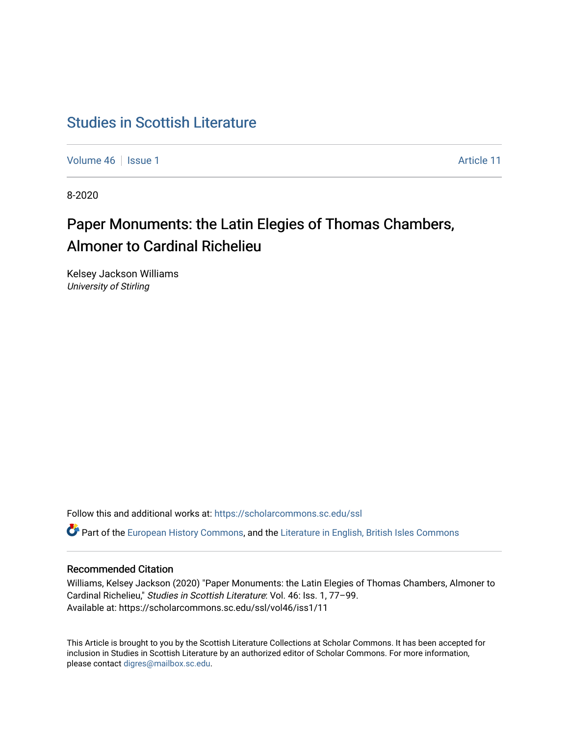## [Studies in Scottish Literature](https://scholarcommons.sc.edu/ssl)

[Volume 46](https://scholarcommons.sc.edu/ssl/vol46) | [Issue 1](https://scholarcommons.sc.edu/ssl/vol46/iss1) Article 11

8-2020

# Paper Monuments: the Latin Elegies of Thomas Chambers, Almoner to Cardinal Richelieu

Kelsey Jackson Williams University of Stirling

Follow this and additional works at: [https://scholarcommons.sc.edu/ssl](https://scholarcommons.sc.edu/ssl?utm_source=scholarcommons.sc.edu%2Fssl%2Fvol46%2Fiss1%2F11&utm_medium=PDF&utm_campaign=PDFCoverPages) 

Part of the [European History Commons](http://network.bepress.com/hgg/discipline/492?utm_source=scholarcommons.sc.edu%2Fssl%2Fvol46%2Fiss1%2F11&utm_medium=PDF&utm_campaign=PDFCoverPages), and the [Literature in English, British Isles Commons](http://network.bepress.com/hgg/discipline/456?utm_source=scholarcommons.sc.edu%2Fssl%2Fvol46%2Fiss1%2F11&utm_medium=PDF&utm_campaign=PDFCoverPages)

## Recommended Citation

Williams, Kelsey Jackson (2020) "Paper Monuments: the Latin Elegies of Thomas Chambers, Almoner to Cardinal Richelieu," Studies in Scottish Literature: Vol. 46: Iss. 1, 77–99. Available at: https://scholarcommons.sc.edu/ssl/vol46/iss1/11

This Article is brought to you by the Scottish Literature Collections at Scholar Commons. It has been accepted for inclusion in Studies in Scottish Literature by an authorized editor of Scholar Commons. For more information, please contact [digres@mailbox.sc.edu](mailto:digres@mailbox.sc.edu).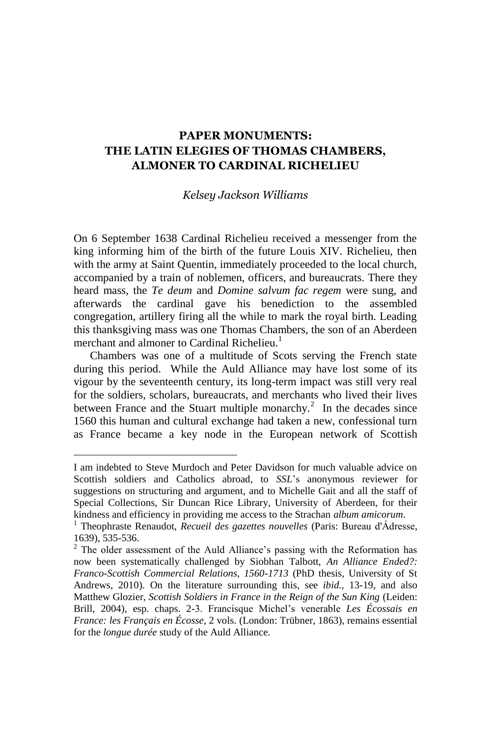### **PAPER MONUMENTS: THE LATIN ELEGIES OF THOMAS CHAMBERS, ALMONER TO CARDINAL RICHELIEU**

#### *Kelsey Jackson Williams*

On 6 September 1638 Cardinal Richelieu received a messenger from the king informing him of the birth of the future Louis XIV. Richelieu, then with the army at Saint Quentin, immediately proceeded to the local church, accompanied by a train of noblemen, officers, and bureaucrats. There they heard mass, the *Te deum* and *Domine salvum fac regem* were sung, and afterwards the cardinal gave his benediction to the assembled congregation, artillery firing all the while to mark the royal birth. Leading this thanksgiving mass was one Thomas Chambers, the son of an Aberdeen merchant and almoner to Cardinal Richelieu.<sup>1</sup>

Chambers was one of a multitude of Scots serving the French state during this period. While the Auld Alliance may have lost some of its vigour by the seventeenth century, its long-term impact was still very real for the soldiers, scholars, bureaucrats, and merchants who lived their lives between France and the Stuart multiple monarchy.<sup>2</sup> In the decades since 1560 this human and cultural exchange had taken a new, confessional turn as France became a key node in the European network of Scottish

I am indebted to Steve Murdoch and Peter Davidson for much valuable advice on Scottish soldiers and Catholics abroad, to *SSL*'s anonymous reviewer for suggestions on structuring and argument, and to Michelle Gait and all the staff of Special Collections, Sir Duncan Rice Library, University of Aberdeen, for their kindness and efficiency in providing me access to the Strachan *album amicorum*.

<sup>&</sup>lt;sup>1</sup> Theophraste Renaudot, *Recueil des gazettes nouvelles* (Paris: Bureau d'Ádresse, 1639), 535-536.

 $2$  The older assessment of the Auld Alliance's passing with the Reformation has now been systematically challenged by Siobhan Talbott, *An Alliance Ended?: Franco-Scottish Commercial Relations, 1560-1713* (PhD thesis, University of St Andrews, 2010). On the literature surrounding this, see *ibid.*, 13-19, and also Matthew Glozier, *Scottish Soldiers in France in the Reign of the Sun King* (Leiden: Brill, 2004), esp. chaps. 2-3. Francisque Michel's venerable Les Écossais en *France: les Français en Écosse*, 2 vols. (London: Trübner, 1863), remains essential for the *longue durée* study of the Auld Alliance.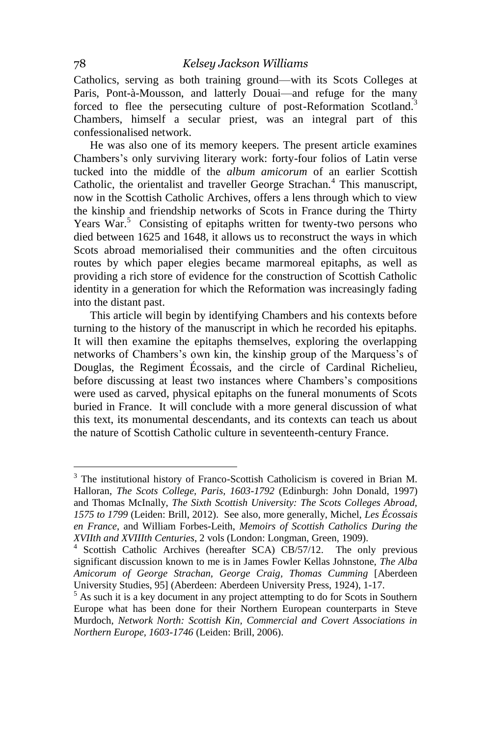Catholics, serving as both training ground—with its Scots Colleges at Paris, Pont-à-Mousson, and latterly Douai—and refuge for the many forced to flee the persecuting culture of post-Reformation Scotland.<sup>3</sup> Chambers, himself a secular priest, was an integral part of this confessionalised network.

He was also one of its memory keepers. The present article examines Chambers's only surviving literary work: forty-four folios of Latin verse tucked into the middle of the *album amicorum* of an earlier Scottish Catholic, the orientalist and traveller George Strachan.<sup>4</sup> This manuscript, now in the Scottish Catholic Archives, offers a lens through which to view the kinship and friendship networks of Scots in France during the Thirty Years War.<sup>5</sup> Consisting of epitaphs written for twenty-two persons who died between 1625 and 1648, it allows us to reconstruct the ways in which Scots abroad memorialised their communities and the often circuitous routes by which paper elegies became marmoreal epitaphs, as well as providing a rich store of evidence for the construction of Scottish Catholic identity in a generation for which the Reformation was increasingly fading into the distant past.

This article will begin by identifying Chambers and his contexts before turning to the history of the manuscript in which he recorded his epitaphs. It will then examine the epitaphs themselves, exploring the overlapping networks of Chambers's own kin, the kinship group of the Marquess's of Douglas, the Regiment Écossais, and the circle of Cardinal Richelieu, before discussing at least two instances where Chambers's compositions were used as carved, physical epitaphs on the funeral monuments of Scots buried in France. It will conclude with a more general discussion of what this text, its monumental descendants, and its contexts can teach us about the nature of Scottish Catholic culture in seventeenth-century France.

<sup>&</sup>lt;sup>3</sup> The institutional history of Franco-Scottish Catholicism is covered in Brian M. Halloran, *The Scots College, Paris, 1603-1792* (Edinburgh: John Donald, 1997) and Thomas McInally, *The Sixth Scottish University: The Scots Colleges Abroad, 1575 to 1799* (Leiden: Brill, 2012). See also, more generally, Michel, *Les Écossais en France*, and William Forbes-Leith, *Memoirs of Scottish Catholics During the XVIIth and XVIIIth Centuries*, 2 vols (London: Longman, Green, 1909).

<sup>&</sup>lt;sup>4</sup> Scottish Catholic Archives (hereafter SCA) CB/57/12. The only previous significant discussion known to me is in James Fowler Kellas Johnstone, *The Alba Amicorum of George Strachan, George Craig, Thomas Cumming* [Aberdeen University Studies, 95] (Aberdeen: Aberdeen University Press, 1924), 1-17.

<sup>&</sup>lt;sup>5</sup> As such it is a key document in any project attempting to do for Scots in Southern Europe what has been done for their Northern European counterparts in Steve Murdoch, *Network North: Scottish Kin, Commercial and Covert Associations in Northern Europe, 1603-1746* (Leiden: Brill, 2006).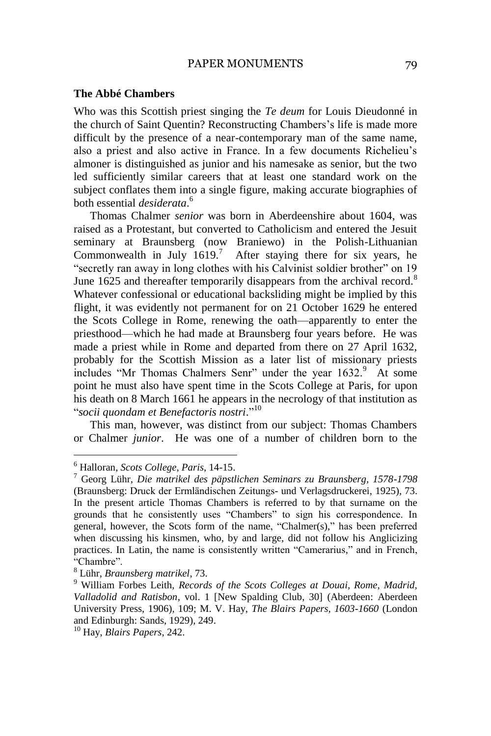#### **The Abbé Chambers**

Who was this Scottish priest singing the *Te deum* for Louis Dieudonné in the church of Saint Quentin? Reconstructing Chambers's life is made more difficult by the presence of a near-contemporary man of the same name, also a priest and also active in France. In a few documents Richelieu's almoner is distinguished as junior and his namesake as senior, but the two led sufficiently similar careers that at least one standard work on the subject conflates them into a single figure, making accurate biographies of both essential *desiderata*. 6

Thomas Chalmer *senior* was born in Aberdeenshire about 1604, was raised as a Protestant, but converted to Catholicism and entered the Jesuit seminary at Braunsberg (now Braniewo) in the Polish-Lithuanian Commonwealth in July  $1619$ .<sup>7</sup> After staying there for six years, he "secretly ran away in long clothes with his Calvinist soldier brother" on 19 June 1625 and thereafter temporarily disappears from the archival record.<sup>8</sup> Whatever confessional or educational backsliding might be implied by this flight, it was evidently not permanent for on 21 October 1629 he entered the Scots College in Rome, renewing the oath—apparently to enter the priesthood—which he had made at Braunsberg four years before. He was made a priest while in Rome and departed from there on 27 April 1632, probably for the Scottish Mission as a later list of missionary priests includes "Mr Thomas Chalmers Senr" under the year  $1632$ .<sup>9</sup> At some point he must also have spent time in the Scots College at Paris, for upon his death on 8 March 1661 he appears in the necrology of that institution as "*socii quondam et Benefactoris nostri*." 10

This man, however, was distinct from our subject: Thomas Chambers or Chalmer *junior*. He was one of a number of children born to the

<sup>6</sup> Halloran, *Scots College, Paris,* 14-15.

<sup>7</sup> Georg Lühr, *Die matrikel des päpstlichen Seminars zu Braunsberg, 1578-1798*  (Braunsberg: Druck der Ermländischen Zeitungs- und Verlagsdruckerei, 1925), 73. In the present article Thomas Chambers is referred to by that surname on the grounds that he consistently uses "Chambers" to sign his correspondence. In general, however, the Scots form of the name, "Chalmer(s)," has been preferred when discussing his kinsmen, who, by and large, did not follow his Anglicizing practices. In Latin, the name is consistently written "Camerarius," and in French, "Chambre".

<sup>8</sup> Lühr, *Braunsberg matrikel*, 73.

<sup>9</sup> William Forbes Leith, *Records of the Scots Colleges at Douai, Rome, Madrid, Valladolid and Ratisbon*, vol. 1 [New Spalding Club, 30] (Aberdeen: Aberdeen University Press, 1906), 109; M. V. Hay, *The Blairs Papers, 1603-1660* (London and Edinburgh: Sands, 1929), 249.

<sup>10</sup> Hay, *Blairs Papers*, 242.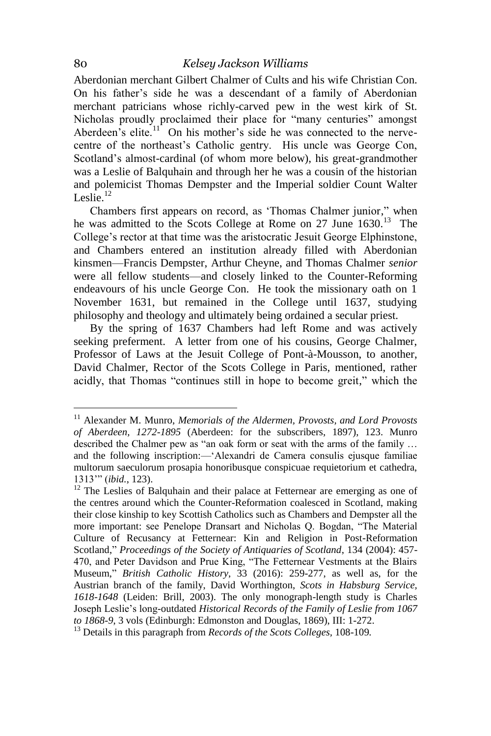Aberdonian merchant Gilbert Chalmer of Cults and his wife Christian Con. On his father's side he was a descendant of a family of Aberdonian merchant patricians whose richly-carved pew in the west kirk of St. Nicholas proudly proclaimed their place for "many centuries" amongst Aberdeen's elite.<sup>11</sup> On his mother's side he was connected to the nervecentre of the northeast's Catholic gentry. His uncle was George Con, Scotland's almost-cardinal (of whom more below), his great-grandmother was a Leslie of Balquhain and through her he was a cousin of the historian and polemicist Thomas Dempster and the Imperial soldier Count Walter Leslie. $12$ 

Chambers first appears on record, as 'Thomas Chalmer junior," when he was admitted to the Scots College at Rome on 27 June 1630.<sup>13</sup> The College's rector at that time was the aristocratic Jesuit George Elphinstone, and Chambers entered an institution already filled with Aberdonian kinsmen—Francis Dempster, Arthur Cheyne, and Thomas Chalmer *senior* were all fellow students—and closely linked to the Counter-Reforming endeavours of his uncle George Con. He took the missionary oath on 1 November 1631, but remained in the College until 1637, studying philosophy and theology and ultimately being ordained a secular priest.

By the spring of 1637 Chambers had left Rome and was actively seeking preferment. A letter from one of his cousins, George Chalmer, Professor of Laws at the Jesuit College of Pont-à-Mousson, to another, David Chalmer, Rector of the Scots College in Paris, mentioned, rather acidly, that Thomas "continues still in hope to become greit," which the

<sup>&</sup>lt;sup>11</sup> Alexander M. Munro, *Memorials of the Aldermen, Provosts, and Lord Provosts of Aberdeen, 1272-1895* (Aberdeen: for the subscribers, 1897), 123. Munro described the Chalmer pew as "an oak form or seat with the arms of the family ... and the following inscription:—'Alexandri de Camera consulis ejusque familiae multorum saeculorum prosapia honoribusque conspicuae requietorium et cathedra, 1313'" (*ibid.*, 123).

<sup>&</sup>lt;sup>12</sup> The Leslies of Balquhain and their palace at Fetternear are emerging as one of the centres around which the Counter-Reformation coalesced in Scotland, making their close kinship to key Scottish Catholics such as Chambers and Dempster all the more important: see Penelope Dransart and Nicholas Q. Bogdan, "The Material Culture of Recusancy at Fetternear: Kin and Religion in Post-Reformation Scotland," *Proceedings of the Society of Antiquaries of Scotland*, 134 (2004): 457- 470, and Peter Davidson and Prue King, "The Fetternear Vestments at the Blairs Museum," *British Catholic History*, 33 (2016): 259-277, as well as, for the Austrian branch of the family, David Worthington, *Scots in Habsburg Service, 1618-1648* (Leiden: Brill, 2003). The only monograph-length study is Charles Joseph Leslie's long-outdated *Historical Records of the Family of Leslie from 1067 to 1868-9*, 3 vols (Edinburgh: Edmonston and Douglas, 1869), III: 1-272.

<sup>13</sup> Details in this paragraph from *Records of the Scots Colleges,* 108-109*.*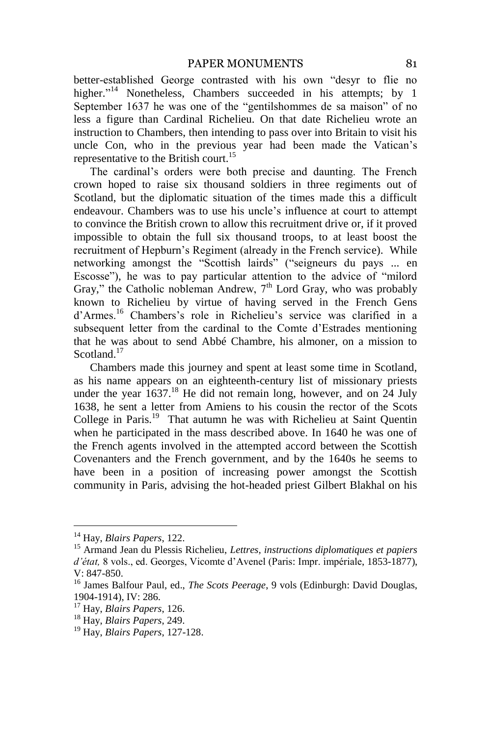better-established George contrasted with his own "desyr to flie no higher."<sup>14</sup> Nonetheless, Chambers succeeded in his attempts; by 1 September 1637 he was one of the "gentilshommes de sa maison" of no less a figure than Cardinal Richelieu. On that date Richelieu wrote an instruction to Chambers, then intending to pass over into Britain to visit his uncle Con, who in the previous year had been made the Vatican's representative to the British court.<sup>15</sup>

The cardinal's orders were both precise and daunting. The French crown hoped to raise six thousand soldiers in three regiments out of Scotland, but the diplomatic situation of the times made this a difficult endeavour. Chambers was to use his uncle's influence at court to attempt to convince the British crown to allow this recruitment drive or, if it proved impossible to obtain the full six thousand troops, to at least boost the recruitment of Hepburn's Regiment (already in the French service). While networking amongst the "Scottish lairds" ("seigneurs du pays ... en Escosse"), he was to pay particular attention to the advice of "milord" Gray," the Catholic nobleman Andrew,  $7<sup>th</sup>$  Lord Gray, who was probably known to Richelieu by virtue of having served in the French Gens d'Armes.<sup>16</sup> Chambers's role in Richelieu's service was clarified in a subsequent letter from the cardinal to the Comte d'Estrades mentioning that he was about to send Abbé Chambre, his almoner, on a mission to Scotland<sup>17</sup>

Chambers made this journey and spent at least some time in Scotland, as his name appears on an eighteenth-century list of missionary priests under the year  $1637<sup>18</sup>$  He did not remain long, however, and on 24 July 1638, he sent a letter from Amiens to his cousin the rector of the Scots College in Paris.<sup>19</sup> That autumn he was with Richelieu at Saint Quentin when he participated in the mass described above. In 1640 he was one of the French agents involved in the attempted accord between the Scottish Covenanters and the French government, and by the 1640s he seems to have been in a position of increasing power amongst the Scottish community in Paris, advising the hot-headed priest Gilbert Blakhal on his

<sup>14</sup> Hay, *Blairs Papers*, 122.

<sup>15</sup> Armand Jean du Plessis Richelieu, *Lettres, instructions diplomatiques et papiers d'état,* 8 vols., ed. Georges, Vicomte d'Avenel (Paris: Impr. impériale, 1853-1877), V: 847-850.

<sup>16</sup> James Balfour Paul, ed., *The Scots Peerage*, 9 vols (Edinburgh: David Douglas, 1904-1914), IV: 286.

<sup>17</sup> Hay, *Blairs Papers*, 126.

<sup>18</sup> Hay, *Blairs Papers*, 249.

<sup>19</sup> Hay, *Blairs Papers*, 127-128.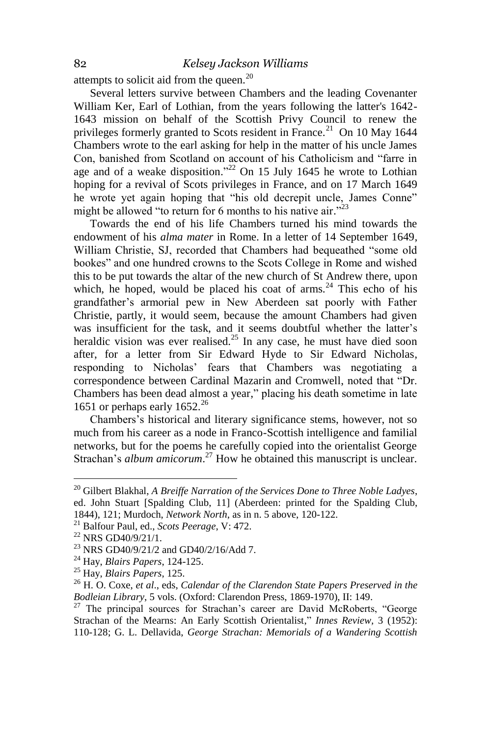attempts to solicit aid from the queen.<sup>20</sup>

Several letters survive between Chambers and the leading Covenanter William Ker, Earl of Lothian, from the years following the latter's 1642- 1643 mission on behalf of the Scottish Privy Council to renew the privileges formerly granted to Scots resident in France.<sup>21</sup> On 10 May 1644 Chambers wrote to the earl asking for help in the matter of his uncle James Con, banished from Scotland on account of his Catholicism and "farre in age and of a weake disposition."<sup>22</sup> On 15 July 1645 he wrote to Lothian hoping for a revival of Scots privileges in France, and on 17 March 1649 he wrote yet again hoping that "his old decrepit uncle, James Conne" might be allowed "to return for 6 months to his native air."<sup>23</sup>

Towards the end of his life Chambers turned his mind towards the endowment of his *alma mater* in Rome. In a letter of 14 September 1649, William Christie, SJ, recorded that Chambers had bequeathed "some old bookes" and one hundred crowns to the Scots College in Rome and wished this to be put towards the altar of the new church of St Andrew there, upon which, he hoped, would be placed his coat of arms. $^{24}$  This echo of his grandfather's armorial pew in New Aberdeen sat poorly with Father Christie, partly, it would seem, because the amount Chambers had given was insufficient for the task, and it seems doubtful whether the latter's heraldic vision was ever realised.<sup>25</sup> In any case, he must have died soon after, for a letter from Sir Edward Hyde to Sir Edward Nicholas, responding to Nicholas' fears that Chambers was negotiating a correspondence between Cardinal Mazarin and Cromwell, noted that "Dr. Chambers has been dead almost a year," placing his death sometime in late 1651 or perhaps early  $1652.^{26}$ 

Chambers's historical and literary significance stems, however, not so much from his career as a node in Franco-Scottish intelligence and familial networks, but for the poems he carefully copied into the orientalist George Strachan's *album amicorum*.<sup>27</sup> How he obtained this manuscript is unclear.

<sup>20</sup> Gilbert Blakhal, *A Breiffe Narration of the Services Done to Three Noble Ladyes*, ed. John Stuart [Spalding Club, 11] (Aberdeen: printed for the Spalding Club, 1844), 121; Murdoch, *Network North*, as in n. 5 above, 120-122.

<sup>21</sup> Balfour Paul, ed., *Scots Peerage*, V: 472.

<sup>22</sup> NRS GD40/9/21/1.

<sup>23</sup> NRS GD40/9/21/2 and GD40/2/16/Add 7.

<sup>24</sup> Hay, *Blairs Papers*, 124-125.

<sup>25</sup> Hay, *Blairs Papers*, 125.

<sup>26</sup> H. O. Coxe, *et al*., eds, *Calendar of the Clarendon State Papers Preserved in the Bodleian Library*, 5 vols. (Oxford: Clarendon Press, 1869-1970), II: 149.

 $27$  The principal sources for Strachan's career are David McRoberts, "George Strachan of the Mearns: An Early Scottish Orientalist," *Innes Review,* 3 (1952): 110-128; G. L. Dellavida, *George Strachan: Memorials of a Wandering Scottish*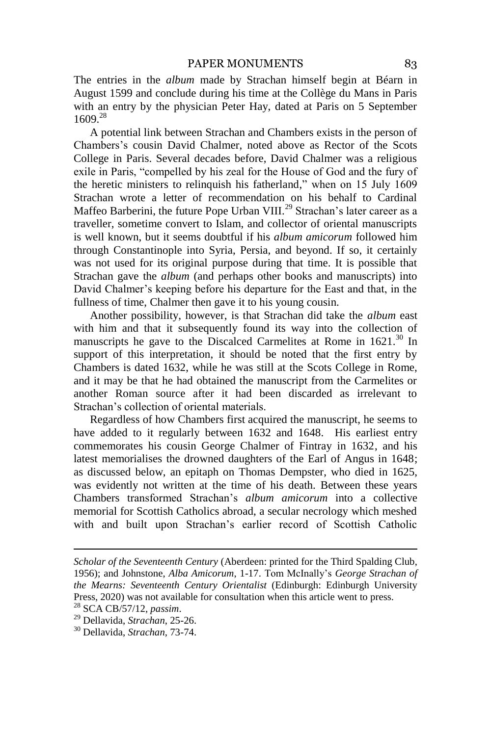The entries in the *album* made by Strachan himself begin at Béarn in August 1599 and conclude during his time at the Collège du Mans in Paris with an entry by the physician Peter Hay, dated at Paris on 5 September 1609.<sup>28</sup>

A potential link between Strachan and Chambers exists in the person of Chambers's cousin David Chalmer, noted above as Rector of the Scots College in Paris. Several decades before, David Chalmer was a religious exile in Paris, "compelled by his zeal for the House of God and the fury of the heretic ministers to relinquish his fatherland," when on 15 July 1609 Strachan wrote a letter of recommendation on his behalf to Cardinal Maffeo Barberini, the future Pope Urban VIII.<sup>29</sup> Strachan's later career as a traveller, sometime convert to Islam, and collector of oriental manuscripts is well known, but it seems doubtful if his *album amicorum* followed him through Constantinople into Syria, Persia, and beyond. If so, it certainly was not used for its original purpose during that time. It is possible that Strachan gave the *album* (and perhaps other books and manuscripts) into David Chalmer's keeping before his departure for the East and that, in the fullness of time, Chalmer then gave it to his young cousin.

Another possibility, however, is that Strachan did take the *album* east with him and that it subsequently found its way into the collection of manuscripts he gave to the Discalced Carmelites at Rome in 1621.<sup>30</sup> In support of this interpretation, it should be noted that the first entry by Chambers is dated 1632, while he was still at the Scots College in Rome, and it may be that he had obtained the manuscript from the Carmelites or another Roman source after it had been discarded as irrelevant to Strachan's collection of oriental materials.

Regardless of how Chambers first acquired the manuscript, he seems to have added to it regularly between 1632 and 1648. His earliest entry commemorates his cousin George Chalmer of Fintray in 1632, and his latest memorialises the drowned daughters of the Earl of Angus in 1648; as discussed below, an epitaph on Thomas Dempster, who died in 1625, was evidently not written at the time of his death. Between these years Chambers transformed Strachan's *album amicorum* into a collective memorial for Scottish Catholics abroad, a secular necrology which meshed with and built upon Strachan's earlier record of Scottish Catholic

1

*Scholar of the Seventeenth Century* (Aberdeen: printed for the Third Spalding Club, 1956); and Johnstone, *Alba Amicorum*, 1-17. Tom McInally's *George Strachan of the Mearns: Seventeenth Century Orientalist* (Edinburgh: Edinburgh University Press, 2020) was not available for consultation when this article went to press.

<sup>28</sup> SCA CB/57/12, *passim*.

<sup>29</sup> Dellavida, *Strachan*, 25-26.

<sup>30</sup> Dellavida, *Strachan*, 73-74.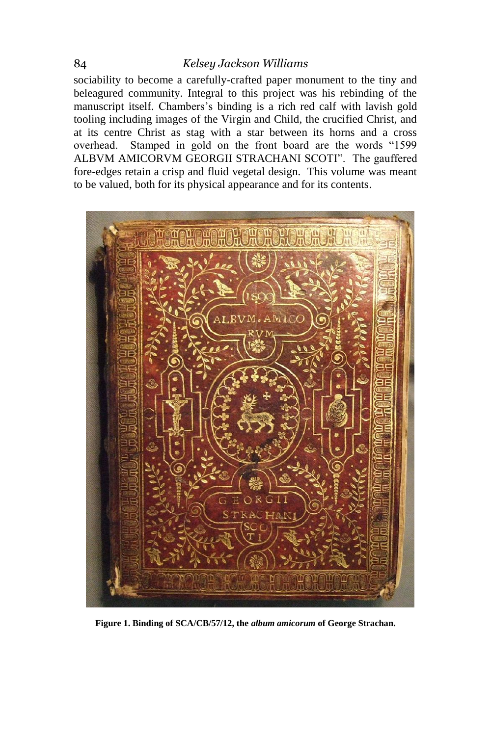sociability to become a carefully-crafted paper monument to the tiny and beleagured community. Integral to this project was his rebinding of the manuscript itself. Chambers's binding is a rich red calf with lavish gold tooling including images of the Virgin and Child, the crucified Christ, and at its centre Christ as stag with a star between its horns and a cross overhead. Stamped in gold on the front board are the words "1599 ALBVM AMICORVM GEORGII STRACHANI SCOTI". The gauffered fore-edges retain a crisp and fluid vegetal design. This volume was meant to be valued, both for its physical appearance and for its contents.



**Figure 1. Binding of SCA/CB/57/12, the** *album amicorum* **of George Strachan.**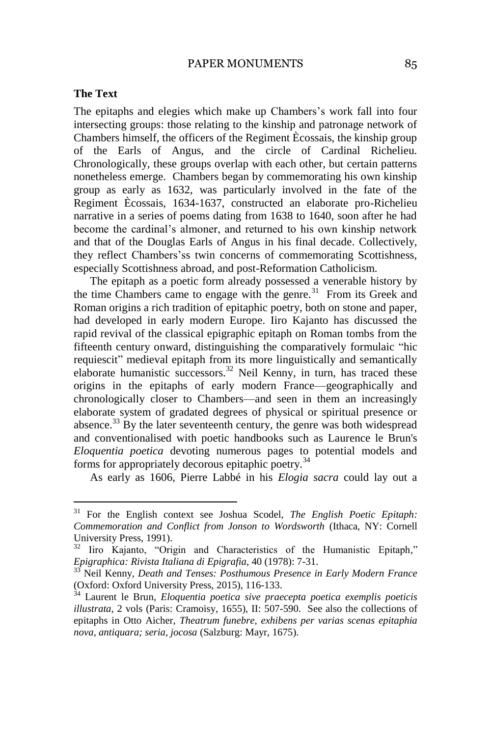#### PAPER MONUMENTS 85

#### **The Text**

 $\overline{a}$ 

The epitaphs and elegies which make up Chambers's work fall into four intersecting groups: those relating to the kinship and patronage network of Chambers himself, the officers of the Regiment Ècossais, the kinship group of the Earls of Angus, and the circle of Cardinal Richelieu. Chronologically, these groups overlap with each other, but certain patterns nonetheless emerge. Chambers began by commemorating his own kinship group as early as 1632, was particularly involved in the fate of the Regiment Ècossais, 1634-1637, constructed an elaborate pro-Richelieu narrative in a series of poems dating from 1638 to 1640, soon after he had become the cardinal's almoner, and returned to his own kinship network and that of the Douglas Earls of Angus in his final decade. Collectively, they reflect Chambers'ss twin concerns of commemorating Scottishness, especially Scottishness abroad, and post-Reformation Catholicism.

The epitaph as a poetic form already possessed a venerable history by the time Chambers came to engage with the genre.<sup>31</sup> From its Greek and Roman origins a rich tradition of epitaphic poetry, both on stone and paper, had developed in early modern Europe. Iiro Kajanto has discussed the rapid revival of the classical epigraphic epitaph on Roman tombs from the fifteenth century onward, distinguishing the comparatively formulaic "hic requiescit" medieval epitaph from its more linguistically and semantically elaborate humanistic successors.<sup>32</sup> Neil Kenny, in turn, has traced these origins in the epitaphs of early modern France—geographically and chronologically closer to Chambers—and seen in them an increasingly elaborate system of gradated degrees of physical or spiritual presence or absence. $33$  By the later seventeenth century, the genre was both widespread and conventionalised with poetic handbooks such as Laurence le Brun's *Eloquentia poetica* devoting numerous pages to potential models and forms for appropriately decorous epitaphic poetry.<sup>34</sup>

As early as 1606, Pierre Labbé in his *Elogia sacra* could lay out a

<sup>31</sup> For the English context see Joshua Scodel, *The English Poetic Epitaph: Commemoration and Conflict from Jonson to Wordsworth* (Ithaca, NY: Cornell University Press, 1991).

<sup>&</sup>lt;sup>32</sup> Iiro Kajanto, "Origin and Characteristics of the Humanistic Epitaph," *Epigraphica: Rivista Italiana di Epigrafia*, 40 (1978): 7-31.

<sup>33</sup> Neil Kenny, *Death and Tenses: Posthumous Presence in Early Modern France* (Oxford: Oxford University Press, 2015), 116-133.

<sup>34</sup> Laurent le Brun, *Eloquentia poetica sive praecepta poetica exemplis poeticis illustrata*, 2 vols (Paris: Cramoisy, 1655), II: 507-590. See also the collections of epitaphs in Otto Aicher, *Theatrum funebre, exhibens per varias scenas epitaphia nova, antiquara; seria, jocosa* (Salzburg: Mayr, 1675).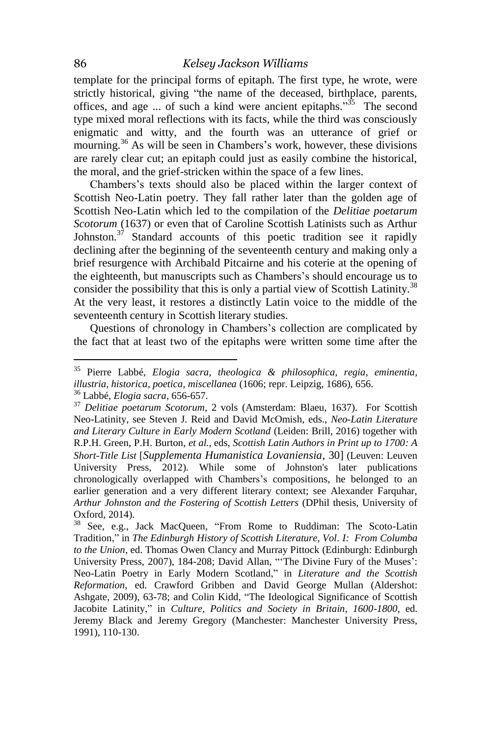template for the principal forms of epitaph. The first type, he wrote, were strictly historical, giving "the name of the deceased, birthplace, parents, offices, and age ... of such a kind were ancient epitaphs."<sup>35</sup> The second type mixed moral reflections with its facts, while the third was consciously enigmatic and witty, and the fourth was an utterance of grief or mourning.<sup>36</sup> As will be seen in Chambers's work, however, these divisions are rarely clear cut; an epitaph could just as easily combine the historical, the moral, and the grief-stricken within the space of a few lines.

Chambers's texts should also be placed within the larger context of Scottish Neo-Latin poetry. They fall rather later than the golden age of Scottish Neo-Latin which led to the compilation of the *Delitiae poetarum Scotorum* (1637) or even that of Caroline Scottish Latinists such as Arthur Johnston. $37$  Standard accounts of this poetic tradition see it rapidly declining after the beginning of the seventeenth century and making only a brief resurgence with Archibald Pitcairne and his coterie at the opening of the eighteenth, but manuscripts such as Chambers's should encourage us to consider the possibility that this is only a partial view of Scottish Latinity.<sup>38</sup> At the very least, it restores a distinctly Latin voice to the middle of the seventeenth century in Scottish literary studies.

Questions of chronology in Chambers's collection are complicated by the fact that at least two of the epitaphs were written some time after the

<sup>35</sup> Pierre Labbé, *Elogia sacra, theologica & philosophica, regia, eminentia, illustria, historica, poetica, miscellanea* (1606; repr. Leipzig, 1686), 656. <sup>36</sup> Labbé, *Elogia sacra*, 656-657.

<sup>37</sup> *Delitiae poetarum Scotorum*, 2 vols (Amsterdam: Blaeu, 1637). For Scottish Neo-Latinity, see Steven J. Reid and David McOmish, eds., *Neo-Latin Literature and Literary Culture in Early Modern Scotland* (Leiden: Brill, 2016) together with R.P.H. Green, P.H. Burton, *et al.*, eds, *Scottish Latin Authors in Print up to 1700: A Short-Title List* [*Supplementa Humanistica Lovaniensia*, 30] (Leuven: Leuven University Press, 2012). While some of Johnston's later publications chronologically overlapped with Chambers's compositions, he belonged to an earlier generation and a very different literary context; see Alexander Farquhar, *Arthur Johnston and the Fostering of Scottish Letters* (DPhil thesis, University of Oxford, 2014).

<sup>38</sup> See, e.g., Jack MacQueen, "From Rome to Ruddiman: The Scoto-Latin Tradition," in *The Edinburgh History of Scottish Literature, Vol. I: From Columba to the Union,* ed. Thomas Owen Clancy and Murray Pittock (Edinburgh: Edinburgh University Press, 2007), 184-208; David Allan, "'The Divine Fury of the Muses': Neo-Latin Poetry in Early Modern Scotland," in *Literature and the Scottish Reformation*, ed. Crawford Gribben and David George Mullan (Aldershot: Ashgate, 2009), 63-78; and Colin Kidd, "The Ideological Significance of Scottish Jacobite Latinity," in *Culture, Politics and Society in Britain, 1600-1800*, ed. Jeremy Black and Jeremy Gregory (Manchester: Manchester University Press, 1991), 110-130.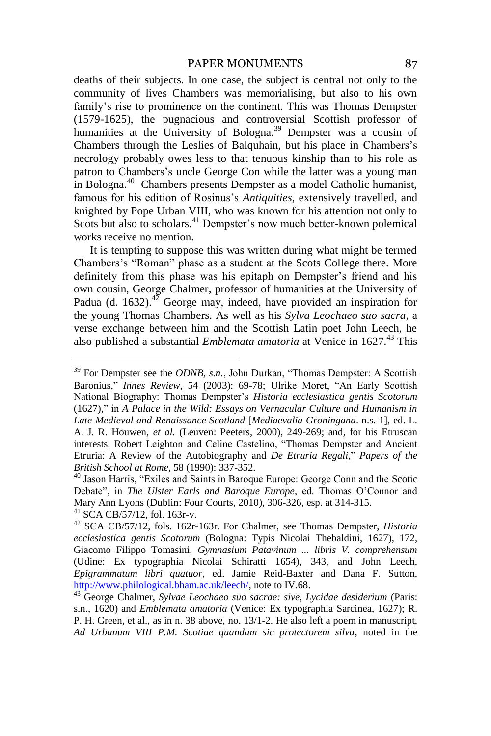#### PAPER MONUMENTS 87

deaths of their subjects. In one case, the subject is central not only to the community of lives Chambers was memorialising, but also to his own family's rise to prominence on the continent. This was Thomas Dempster (1579-1625), the pugnacious and controversial Scottish professor of humanities at the University of Bologna.<sup>39</sup> Dempster was a cousin of Chambers through the Leslies of Balquhain, but his place in Chambers's necrology probably owes less to that tenuous kinship than to his role as patron to Chambers's uncle George Con while the latter was a young man in Bologna.<sup>40</sup> Chambers presents Dempster as a model Catholic humanist, famous for his edition of Rosinus's *Antiquities*, extensively travelled, and knighted by Pope Urban VIII, who was known for his attention not only to Scots but also to scholars.<sup>41</sup> Dempster's now much better-known polemical works receive no mention.

It is tempting to suppose this was written during what might be termed Chambers's "Roman" phase as a student at the Scots College there. More definitely from this phase was his epitaph on Dempster's friend and his own cousin, George Chalmer, professor of humanities at the University of Padua (d. 1632).<sup>42</sup> George may, indeed, have provided an inspiration for the young Thomas Chambers. As well as his *Sylva Leochaeo suo sacra*, a verse exchange between him and the Scottish Latin poet John Leech, he also published a substantial *Emblemata amatoria* at Venice in 1627.<sup>43</sup> This

 $39$  For Dempster see the *ODNB*, s.n., John Durkan, "Thomas Dempster: A Scottish Baronius," *Innes Review, 54 (2003): 69-78; Ulrike Moret, "An Early Scottish* National Biography: Thomas Dempster's *Historia ecclesiastica gentis Scotorum* (1627)," in *A Palace in the Wild: Essays on Vernacular Culture and Humanism in Late-Medieval and Renaissance Scotland* [*Mediaevalia Groningana*. n.s. 1], ed. L. A. J. R. Houwen, *et al.* (Leuven: Peeters, 2000), 249-269; and, for his Etruscan interests, Robert Leighton and Celine Castelino, "Thomas Dempster and Ancient Etruria: A Review of the Autobiography and *De Etruria Regali*," *Papers of the British School at Rome,* 58 (1990): 337-352.

<sup>&</sup>lt;sup>40</sup> Jason Harris, "Exiles and Saints in Baroque Europe: George Conn and the Scotic Debate", in *The Ulster Earls and Baroque Europe*, ed. Thomas O'Connor and Mary Ann Lyons (Dublin: Four Courts, 2010), 306-326, esp. at 314-315. <sup>41</sup> SCA CB/57/12, fol. 163r-v.

<sup>42</sup> SCA CB/57/12, fols. 162r-163r. For Chalmer, see Thomas Dempster, *Historia ecclesiastica gentis Scotorum* (Bologna: Typis Nicolai Thebaldini, 1627), 172, Giacomo Filippo Tomasini, *Gymnasium Patavinum ... libris V. comprehensum* (Udine: Ex typographia Nicolai Schiratti 1654), 343, and John Leech, *Epigrammatum libri quatuor*, ed. Jamie Reid-Baxter and Dana F. Sutton, [http://www.philological.bham.ac.uk/leech/,](http://www.philological.bham.ac.uk/leech/) note to IV.68.

<sup>&</sup>lt;sup>43</sup> George Chalmer, *Sylvae Leochaeo suo sacrae: sive, Lycidae desiderium* (Paris: s.n., 1620) and *Emblemata amatoria* (Venice: Ex typographia Sarcinea, 1627); R. P. H. Green, et al., as in n. 38 above, no. 13/1-2. He also left a poem in manuscript, *Ad Urbanum VIII P.M. Scotiae quandam sic protectorem silva*, noted in the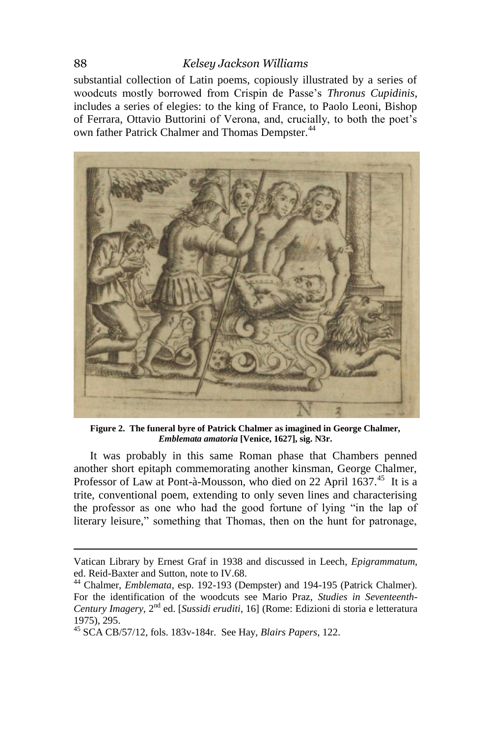substantial collection of Latin poems, copiously illustrated by a series of woodcuts mostly borrowed from Crispin de Passe's *Thronus Cupidinis*, includes a series of elegies: to the king of France, to Paolo Leoni, Bishop of Ferrara, Ottavio Buttorini of Verona, and, crucially, to both the poet's own father Patrick Chalmer and Thomas Dempster.<sup>44</sup>



**Figure 2. The funeral byre of Patrick Chalmer as imagined in George Chalmer,**  *Emblemata amatoria* **[Venice, 1627], sig. N3r.**

It was probably in this same Roman phase that Chambers penned another short epitaph commemorating another kinsman, George Chalmer, Professor of Law at Pont-à-Mousson, who died on 22 April 1637.<sup>45</sup> It is a trite, conventional poem, extending to only seven lines and characterising the professor as one who had the good fortune of lying "in the lap of literary leisure," something that Thomas, then on the hunt for patronage,

1

Vatican Library by Ernest Graf in 1938 and discussed in Leech, *Epigrammatum*, ed. Reid-Baxter and Sutton, note to IV.68.

<sup>44</sup> Chalmer, *Emblemata*, esp. 192-193 (Dempster) and 194-195 (Patrick Chalmer). For the identification of the woodcuts see Mario Praz, *Studies in Seventeenth-Century Imagery*, 2nd ed. [*Sussidi eruditi*, 16] (Rome: Edizioni di storia e letteratura 1975), 295.

<sup>45</sup> SCA CB/57/12, fols. 183v-184r. See Hay, *Blairs Papers*, 122.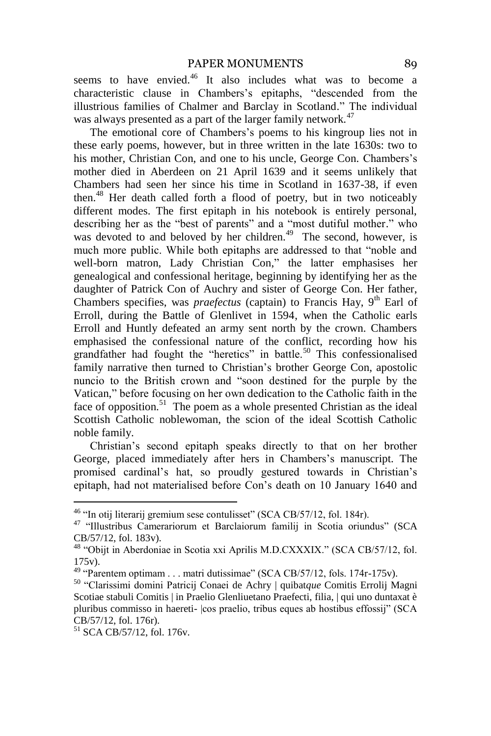seems to have envied.<sup>46</sup> It also includes what was to become a characteristic clause in Chambers's epitaphs, "descended from the illustrious families of Chalmer and Barclay in Scotland." The individual was always presented as a part of the larger family network.<sup>47</sup>

The emotional core of Chambers's poems to his kingroup lies not in these early poems, however, but in three written in the late 1630s: two to his mother, Christian Con, and one to his uncle, George Con. Chambers's mother died in Aberdeen on 21 April 1639 and it seems unlikely that Chambers had seen her since his time in Scotland in 1637-38, if even then.<sup>48</sup> Her death called forth a flood of poetry, but in two noticeably different modes. The first epitaph in his notebook is entirely personal, describing her as the "best of parents" and a "most dutiful mother." who was devoted to and beloved by her children.<sup>49</sup> The second, however, is much more public. While both epitaphs are addressed to that "noble and well-born matron, Lady Christian Con," the latter emphasises her genealogical and confessional heritage, beginning by identifying her as the daughter of Patrick Con of Auchry and sister of George Con. Her father, Chambers specifies, was *praefectus* (captain) to Francis Hay, 9<sup>th</sup> Earl of Erroll, during the Battle of Glenlivet in 1594, when the Catholic earls Erroll and Huntly defeated an army sent north by the crown. Chambers emphasised the confessional nature of the conflict, recording how his grandfather had fought the "heretics" in battle.<sup>50</sup> This confessionalised family narrative then turned to Christian's brother George Con, apostolic nuncio to the British crown and "soon destined for the purple by the Vatican," before focusing on her own dedication to the Catholic faith in the face of opposition.<sup>51</sup> The poem as a whole presented Christian as the ideal Scottish Catholic noblewoman, the scion of the ideal Scottish Catholic noble family.

Christian's second epitaph speaks directly to that on her brother George, placed immediately after hers in Chambers's manuscript. The promised cardinal's hat, so proudly gestured towards in Christian's epitaph, had not materialised before Con's death on 10 January 1640 and

 $46$  "In otij literarij gremium sese contulisset" (SCA CB/57/12, fol. 184 $r$ ).

<sup>&</sup>lt;sup>47</sup> "Illustribus Camerariorum et Barclaiorum familij in Scotia oriundus" (SCA CB/57/12, fol. 183v).

<sup>&</sup>lt;sup>48</sup> "Obijt in Aberdoniae in Scotia xxi Aprilis M.D.CXXXIX." (SCA CB/57/12, fol. 175v).

 $49$  "Parentem optimam . . . matri dutissimae" (SCA CB/57/12, fols. 174r-175v).

<sup>&</sup>lt;sup>50</sup> "Clarissimi domini Patricij Conaei de Achry | quibatque Comitis Errolij Magni Scotiae stabuli Comitis | in Praelio Glenliuetano Praefecti, filia, | qui uno duntaxat è pluribus commisso in haereti-  $|cos$  praelio, tribus eques ab hostibus effossij" (SCA CB/57/12, fol. 176r).

<sup>51</sup> SCA CB/57/12, fol. 176v.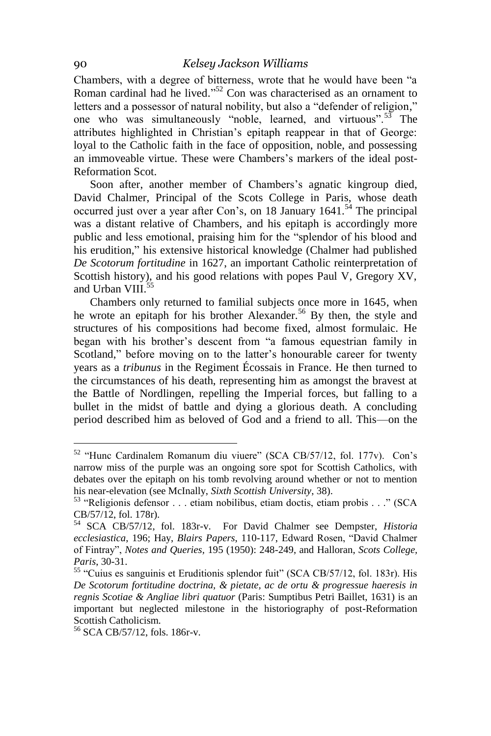Chambers, with a degree of bitterness, wrote that he would have been "a Roman cardinal had he lived."<sup>52</sup> Con was characterised as an ornament to letters and a possessor of natural nobility, but also a "defender of religion," one who was simultaneously "noble, learned, and virtuous". The attributes highlighted in Christian's epitaph reappear in that of George: loyal to the Catholic faith in the face of opposition, noble, and possessing an immoveable virtue. These were Chambers's markers of the ideal post-Reformation Scot.

Soon after, another member of Chambers's agnatic kingroup died, David Chalmer, Principal of the Scots College in Paris, whose death occurred just over a year after Con's, on 18 January  $1641$ .<sup>54</sup> The principal was a distant relative of Chambers, and his epitaph is accordingly more public and less emotional, praising him for the "splendor of his blood and his erudition," his extensive historical knowledge (Chalmer had published *De Scotorum fortitudine* in 1627, an important Catholic reinterpretation of Scottish history), and his good relations with popes Paul V, Gregory XV, and Urban VIII.<sup>55</sup>

Chambers only returned to familial subjects once more in 1645, when he wrote an epitaph for his brother Alexander.<sup>56</sup> By then, the style and structures of his compositions had become fixed, almost formulaic. He began with his brother's descent from "a famous equestrian family in Scotland," before moving on to the latter's honourable career for twenty years as a *tribunus* in the Regiment Écossais in France. He then turned to the circumstances of his death, representing him as amongst the bravest at the Battle of Nordlingen, repelling the Imperial forces, but falling to a bullet in the midst of battle and dying a glorious death. A concluding period described him as beloved of God and a friend to all. This—on the

<sup>&</sup>lt;sup>52</sup> "Hunc Cardinalem Romanum diu viuere" (SCA CB/57/12, fol. 177v). Con's narrow miss of the purple was an ongoing sore spot for Scottish Catholics, with debates over the epitaph on his tomb revolving around whether or not to mention his near-elevation (see McInally, *Sixth Scottish University*, 38).

<sup>&</sup>lt;sup>53</sup> "Religionis defensor . . . etiam nobilibus, etiam doctis, etiam probis . . ." (SCA CB/57/12, fol. 178r).

<sup>54</sup> SCA CB/57/12, fol. 183r-v. For David Chalmer see Dempster, *Historia ecclesiastica*, 196; Hay, *Blairs Papers*, 110-117, Edward Rosen, "David Chalmer of Fint y", *Notes and Queries,* 195 (1950): 248-249, and Halloran, *Scots College, Paris*, 30-31.

<sup>&</sup>lt;sup>55</sup> "Cuius es sanguinis et Eruditionis splendor fuit" (SCA CB/57/12, fol. 183r). His *De Scotorum fortitudine doctrina, & pietate, ac de ortu & progressue haeresis in regnis Scotiae & Angliae libri quatuor* (Paris: Sumptibus Petri Baillet, 1631) is an important but neglected milestone in the historiography of post-Reformation Scottish Catholicism.

<sup>56</sup> SCA CB/57/12, fols. 186r-v.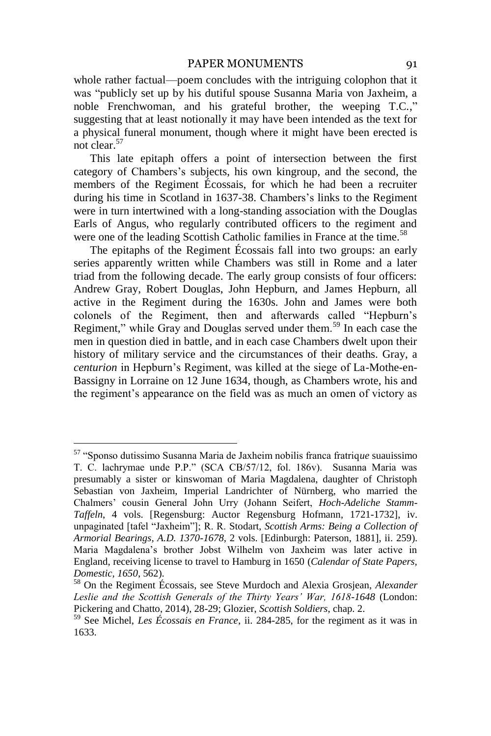whole rather factual—poem concludes with the intriguing colophon that it was "publicly set up by his dutiful spouse Susanna Maria von Jaxheim, a noble Frenchwoman, and his grateful brother, the weeping T.C.," suggesting that at least notionally it may have been intended as the text for a physical funeral monument, though where it might have been erected is not clear.<sup>57</sup>

This late epitaph offers a point of intersection between the first category of Chambers's subjects, his own kingroup, and the second, the members of the Regiment Écossais, for which he had been a recruiter during his time in Scotland in 1637-38. Chambers's links to the Regiment were in turn intertwined with a long-standing association with the Douglas Earls of Angus, who regularly contributed officers to the regiment and were one of the leading Scottish Catholic families in France at the time.<sup>58</sup>

The epitaphs of the Regiment Écossais fall into two groups: an early series apparently written while Chambers was still in Rome and a later triad from the following decade. The early group consists of four officers: Andrew Gray, Robert Douglas, John Hepburn, and James Hepburn, all active in the Regiment during the 1630s. John and James were both colonels of the Regiment, then and afterwards called "Hepburn's Regiment," while Gray and Douglas served under them.<sup>59</sup> In each case the men in question died in battle, and in each case Chambers dwelt upon their history of military service and the circumstances of their deaths. Gray, a *centurion* in Hepburn's Regiment, was killed at the siege of La-Mothe-en-Bassigny in Lorraine on 12 June 1634, though, as Chambers wrote, his and the regiment's appearance on the field was as much an omen of victory as

<sup>&</sup>lt;sup>57</sup> "Sponso dutissimo Susanna Maria de Jaxheim nobilis franca fratrique suauissimo T. C. lachrymae unde P.P." (SCA CB/57/12, fol. 186v). Susanna Maria was presumably a sister or kinswoman of Maria Magdalena, daughter of Christoph Sebastian von Jaxheim, Imperial Landrichter of Nürnberg, who married the Chalmers' cousin General John Urry (Johann Seifert, *Hoch-Adeliche Stamm-Taffeln*, 4 vols. [Regensburg: Auctor Regensburg Hofmann, 1721-1732], iv. unpaginated [tafel "Jaxheim"]; R. R. Stodart, *Scottish Arms: Being a Collection of Armorial Bearings, A.D. 1370-1678*, 2 vols. [Edinburgh: Paterson, 1881], ii. 259). Maria Magdalena's brother Jobst Wilhelm von Jaxheim was later active in England, receiving license to travel to Hamburg in 1650 (*Calendar of State Papers, Domestic, 1650*, 562).

<sup>58</sup> On the Regiment Écossais, see Steve Murdoch and Alexia Grosjean, *Alexander Leslie and the Scottish Generals of the Thirty Years' War, 1618-1648* (London: Pickering and Chatto, 2014), 28-29; Glozier, *Scottish Soldiers*, chap. 2.

<sup>59</sup> See Michel, *Les Écossais en France*, ii. 284-285, for the regiment as it was in 1633*.*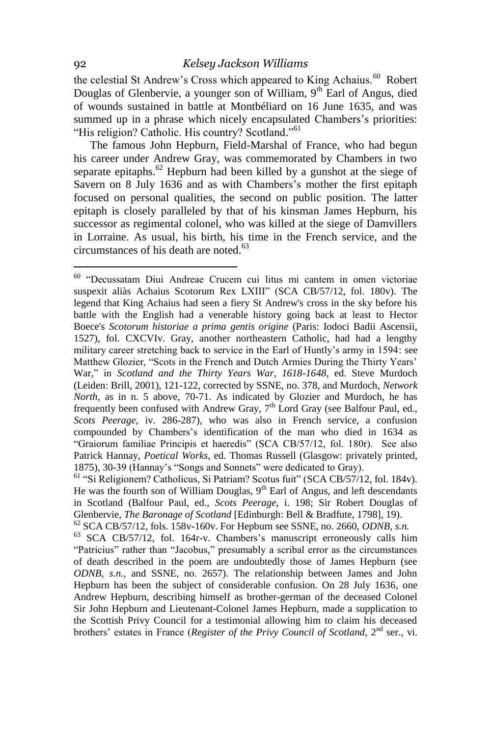the celestial St Andrew's Cross which appeared to King Achaius.<sup>60</sup> Robert Douglas of Glenbervie, a younger son of William,  $9<sup>th</sup>$  Earl of Angus, died of wounds sustained in battle at Montbéliard on 16 June 1635, and was summed up in a phrase which nicely encapsulated Chambers's priorities: "His religion? Catholic. His country? Scotland."<sup>61</sup>

The famous John Hepburn, Field-Marshal of France, who had begun his career under Andrew Gray, was commemorated by Chambers in two separate epitaphs. $62$  Hepburn had been killed by a gunshot at the siege of Savern on 8 July 1636 and as with Chambers's mother the first epitaph focused on personal qualities, the second on public position. The latter epitaph is closely paralleled by that of his kinsman James Hepburn, his successor as regimental colonel, who was killed at the siege of Damvillers in Lorraine. As usual, his birth, his time in the French service, and the circumstances of his death are noted. $63$ 

<sup>&</sup>lt;sup>60</sup> "Decussatam Diui Andreae Crucem cui litus mi cantem in omen victoriae suspexit aliàs Achaius Scotorum Rex LXIII" (SCA CB/57/12, fol. 180v). The legend that King Achaius had seen a fiery St Andrew's cross in the sky before his battle with the English had a venerable history going back at least to Hector Boece's *Scotorum historiae a prima gentis origine* (Paris: Iodoci Badii Ascensii, 1527), fol. CXCVIv. Gray, another northeastern Catholic, had had a lengthy military career stretching back to service in the Earl of Huntly's army in 1594: see Matthew Glozier, "Scots in the French and Dutch Armies During the Thirty Years' War," in *Scotland and the Thirty Years War, 1618-1648*, ed. Steve Murdoch (Leiden: Brill, 2001), 121-122, corrected by SSNE, no. 378, and Murdoch, *Network North*, as in n. 5 above, 70-71. As indicated by Glozier and Murdoch, he has frequently been confused with Andrew Gray,  $7<sup>th</sup>$  Lord Gray (see Balfour Paul, ed., *Scots Peerage*, iv. 286-287), who was also in French service, a confusion compounded by Chambers's identification of the man who died in 1634 as "Graiorum familiae Principis et haeredis" (SCA CB/57/12, fol. 180r). See also Patrick Hannay, *Poetical Works*, ed. Thomas Russell (Glasgow: privately printed, 1875), 30-39 (Hannay's "Songs and Sonnets" were dedicated to Gray).

<sup>&</sup>lt;sup>61</sup> "Si Religionem? Catholicus, Si Patriam? Scotus fuit" (SCA CB/57/12, fol. 184v). He was the fourth son of William Douglas,  $9<sup>th</sup>$  Earl of Angus, and left descendants in Scotland (Balfour Paul, ed., *Scots Peerage*, i. 198; Sir Robert Douglas of Glenbervie, *The Baronage of Scotland* [Edinburgh: Bell & Bradfute, 1798], 19).

<sup>62</sup> SCA CB/57/12, fols. 158v-160v. For Hepburn see SSNE, no. 2660, *ODNB, s.n.*

<sup>&</sup>lt;sup>63</sup> SCA CB/57/12, fol. 164r-v. Chambers's manuscript erroneously calls him "Patricius" rather than "Jacobus," presumably a scribal error as the circumstances of death described in the poem are undoubtedly those of James Hepburn (see *ODNB, s.n.*, and SSNE, no. 2657). The relationship between James and John Hepburn has been the subject of considerable confusion. On 28 July 1636, one Andrew Hepburn, describing himself as brother-german of the deceased Colonel Sir John Hepburn and Lieutenant-Colonel James Hepburn, made a supplication to the Scottish Privy Council for a testimonial allowing him to claim his deceased brothers' estates in France (*Register of the Privy Council of Scotland*, 2<sup>nd</sup> ser., vi.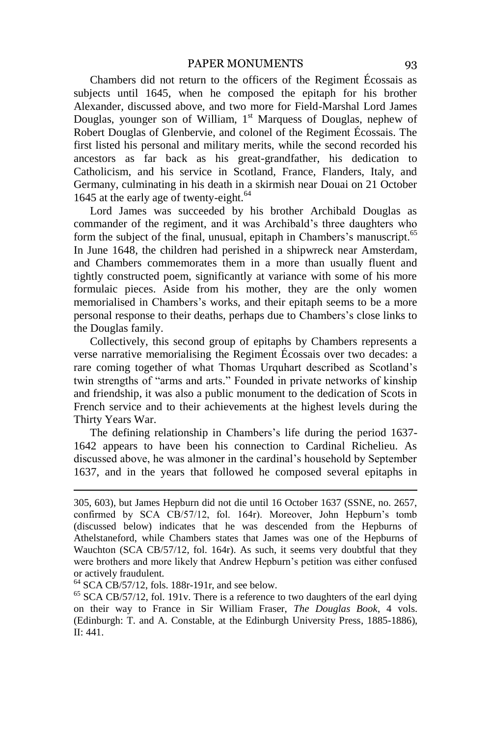Chambers did not return to the officers of the Regiment Écossais as subjects until 1645, when he composed the epitaph for his brother Alexander, discussed above, and two more for Field-Marshal Lord James Douglas, younger son of William,  $1<sup>st</sup>$  Marquess of Douglas, nephew of Robert Douglas of Glenbervie, and colonel of the Regiment Écossais. The first listed his personal and military merits, while the second recorded his ancestors as far back as his great-grandfather, his dedication to Catholicism, and his service in Scotland, France, Flanders, Italy, and Germany, culminating in his death in a skirmish near Douai on 21 October 1645 at the early age of twenty-eight.<sup>64</sup>

Lord James was succeeded by his brother Archibald Douglas as commander of the regiment, and it was Archibald's three daughters who form the subject of the final, unusual, epitaph in Chambers's manuscript.<sup>65</sup> In June 1648, the children had perished in a shipwreck near Amsterdam, and Chambers commemorates them in a more than usually fluent and tightly constructed poem, significantly at variance with some of his more formulaic pieces. Aside from his mother, they are the only women memorialised in Chambers's works, and their epitaph seems to be a more personal response to their deaths, perhaps due to Chambers's close links to the Douglas family.

Collectively, this second group of epitaphs by Chambers represents a verse narrative memorialising the Regiment Écossais over two decades: a rare coming together of what Thomas Urquhart described as Scotland's twin strengths of "arms and arts." Founded in private networks of kinship and friendship, it was also a public monument to the dedication of Scots in French service and to their achievements at the highest levels during the Thirty Years War.

The defining relationship in Chambers's life during the period 1637-1642 appears to have been his connection to Cardinal Richelieu. As discussed above, he was almoner in the cardinal's household by September 1637, and in the years that followed he composed several epitaphs in

 $64$  SCA CB/57/12, fols. 188r-191r, and see below.

1

<sup>65</sup> SCA CB/57/12, fol. 191v. There is a reference to two daughters of the earl dying on their way to France in Sir William Fraser, *The Douglas Book*, 4 vols. (Edinburgh: T. and A. Constable, at the Edinburgh University Press, 1885-1886), II: 441.

<sup>305, 603),</sup> but James Hepburn did not die until 16 October 1637 (SSNE, no. 2657, confirmed by SCA CB/57/12, fol. 164r). Moreover, John Hepburn's tomb (discussed below) indicates that he was descended from the Hepburns of Athelstaneford, while Chambers states that James was one of the Hepburns of Wauchton (SCA CB/57/12, fol. 164r). As such, it seems very doubtful that they were brothers and more likely that Andrew Hepburn's petition was either confused or actively fraudulent.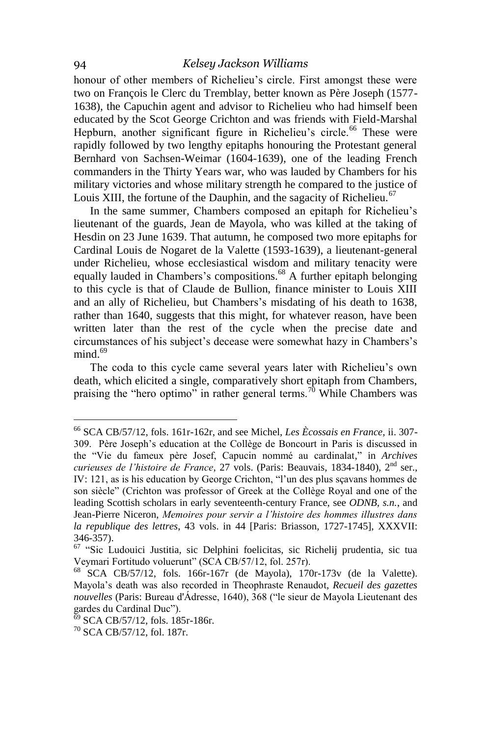honour of other members of Richelieu's circle. First amongst these were two on François le Clerc du Tremblay, better known as Père Joseph (1577- 1638), the Capuchin agent and advisor to Richelieu who had himself been educated by the Scot George Crichton and was friends with Field-Marshal Hepburn, another significant figure in Richelieu's circle.<sup>66</sup> These were rapidly followed by two lengthy epitaphs honouring the Protestant general Bernhard von Sachsen-Weimar (1604-1639), one of the leading French commanders in the Thirty Years war, who was lauded by Chambers for his military victories and whose military strength he compared to the justice of Louis XIII, the fortune of the Dauphin, and the sagacity of Richelieu.<sup>67</sup>

In the same summer, Chambers composed an epitaph for Richelieu's lieutenant of the guards, Jean de Mayola, who was killed at the taking of Hesdin on 23 June 1639. That autumn, he composed two more epitaphs for Cardinal Louis de Nogaret de la Valette (1593-1639), a lieutenant-general under Richelieu, whose ecclesiastical wisdom and military tenacity were equally lauded in Chambers's compositions.<sup>68</sup> A further epitaph belonging to this cycle is that of Claude de Bullion, finance minister to Louis XIII and an ally of Richelieu, but Chambers's misdating of his death to 1638, rather than 1640, suggests that this might, for whatever reason, have been written later than the rest of the cycle when the precise date and circumstances of his subject's decease were somewhat hazy in Chambers's  $mind.<sup>69</sup>$ 

The coda to this cycle came several years later with Richelieu's own death, which elicited a single, comparatively short epitaph from Chambers, praising the "hero optimo" in rather general terms.<sup>70</sup> While Chambers was

<sup>66</sup> SCA CB/57/12, fols. 161r-162r, and see Michel, *Les Ècossais en France*, ii. 307- 309. Père Joseph's education at the Collège de Boncourt in Paris is discussed in the "Vie du fameux père Josef, Capucin nommé au cardinalat," in *Archives curieuses de l'histoire de France*, 27 vols. (Paris: Beauvais, 1834-1840), 2nd ser., IV: 121, as is his education by George Crichton, "l'un des plus sçavans hommes de son siècle" (Crichton was professor of Greek at the Collège Royal and one of the leading Scottish scholars in early seventeenth-century France, see *ODNB, s.n.*, and Jean-Pierre Niceron, *Memoires pour servir a l'histoire des hommes illustres dans la republique des lettres*, 43 vols. in 44 [Paris: Briasson, 1727-1745], XXXVII: 346-357).

 $67$  "Sic Ludouici Justitia, sic Delphini foelicitas, sic Richelij prudentia, sic tua Veymari Fortitudo voluerunt" (SCA CB/57/12, fol. 257r).

<sup>68</sup> SCA CB/57/12, fols. 166r-167r (de Mayola), 170r-173v (de la Valette). Mayola's death was also recorded in Theophraste Renaudot, *Recueil des gazettes* nouvelles (Paris: Bureau d'Ádresse, 1640), 368 ("le sieur de Mayola Lieutenant des gardes du Cardinal Duc").

<sup>69</sup> SCA CB/57/12, fols. 185r-186r.

<sup>70</sup> SCA CB/57/12, fol. 187r.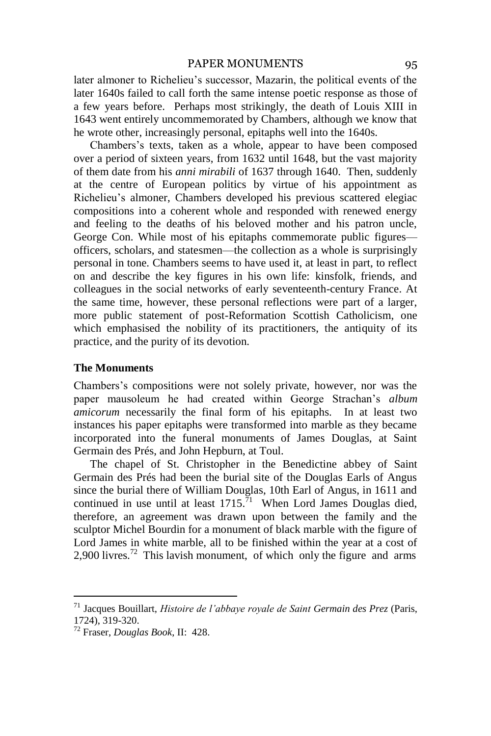later almoner to Richelieu's successor, Mazarin, the political events of the later 1640s failed to call forth the same intense poetic response as those of a few years before. Perhaps most strikingly, the death of Louis XIII in 1643 went entirely uncommemorated by Chambers, although we know that he wrote other, increasingly personal, epitaphs well into the 1640s.

Chambers's texts, taken as a whole, appear to have been composed over a period of sixteen years, from 1632 until 1648, but the vast majority of them date from his *anni mirabili* of 1637 through 1640. Then, suddenly at the centre of European politics by virtue of his appointment as Richelieu's almoner, Chambers developed his previous scattered elegiac compositions into a coherent whole and responded with renewed energy and feeling to the deaths of his beloved mother and his patron uncle, George Con. While most of his epitaphs commemorate public figures officers, scholars, and statesmen—the collection as a whole is surprisingly personal in tone. Chambers seems to have used it, at least in part, to reflect on and describe the key figures in his own life: kinsfolk, friends, and colleagues in the social networks of early seventeenth-century France. At the same time, however, these personal reflections were part of a larger, more public statement of post-Reformation Scottish Catholicism, one which emphasised the nobility of its practitioners, the antiquity of its practice, and the purity of its devotion.

#### **The Monuments**

Chambers's compositions were not solely private, however, nor was the paper mausoleum he had created within George Strachan's *album amicorum* necessarily the final form of his epitaphs. In at least two instances his paper epitaphs were transformed into marble as they became incorporated into the funeral monuments of James Douglas, at Saint Germain des Prés, and John Hepburn, at Toul.

The chapel of St. Christopher in the Benedictine abbey of Saint Germain des Prés had been the burial site of the Douglas Earls of Angus since the burial there of William Douglas, 10th Earl of Angus, in 1611 and continued in use until at least  $1715$ .<sup>71</sup> When Lord James Douglas died, therefore, an agreement was drawn upon between the family and the sculptor Michel Bourdin for a monument of black marble with the figure of Lord James in white marble, all to be finished within the year at a cost of 2,900 livres.<sup>72</sup> This lavish monument, of which only the figure and arms

<sup>71</sup> Jacques Bouillart, *Histoire de l'abbaye royale de Saint Germain des Prez* (Paris, 1724), 319-320.

<sup>72</sup> Fraser, *Douglas Book*, II: 428.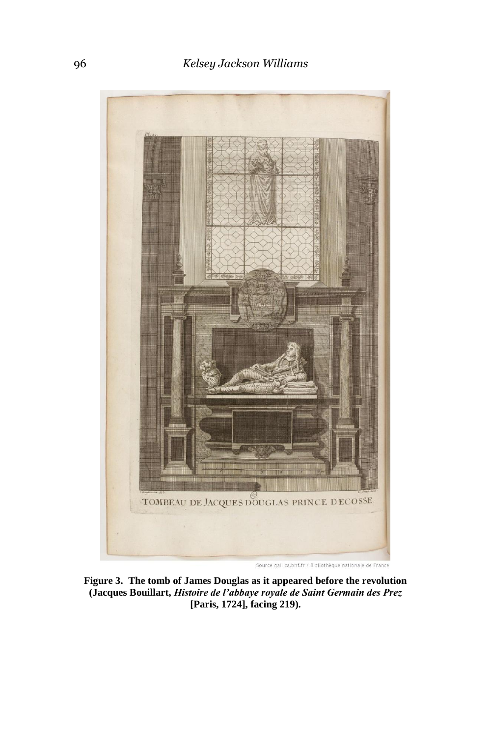

**Figure 3. The tomb of James Douglas as it appeared before the revolution (Jacques Bouillart,** *Histoire de l'abbaye royale de Saint Germain des Prez* **[Paris, 1724], facing 219).**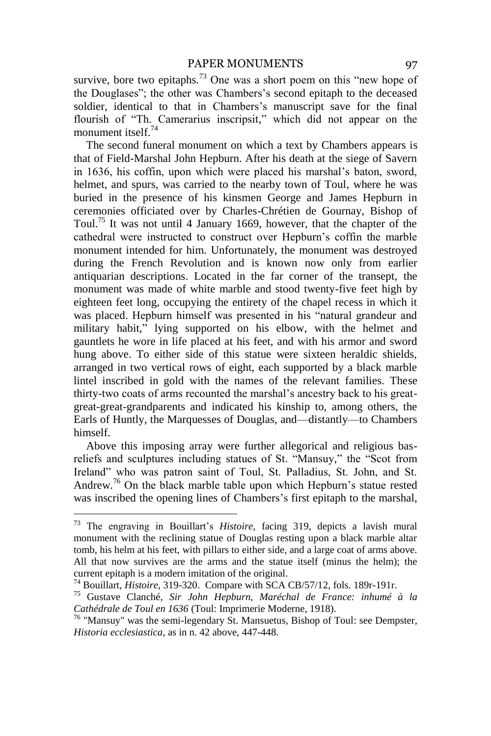#### PAPER MONUMENTS 97

survive, bore two epitaphs.<sup>73</sup> One was a short poem on this "new hope of the Douglases"; the other was Chambers's second epitaph to the deceased soldier, identical to that in Chambers's manuscript save for the final flourish of "Th. Camerarius inscripsit," which did not appear on the monument itself.<sup>74</sup>

The second funeral monument on which a text by Chambers appears is that of Field-Marshal John Hepburn. After his death at the siege of Savern in 1636, his coffin, upon which were placed his marshal's baton, sword, helmet, and spurs, was carried to the nearby town of Toul, where he was buried in the presence of his kinsmen George and James Hepburn in ceremonies officiated over by Charles-Chrétien de Gournay, Bishop of Toul.<sup>75</sup> It was not until 4 January 1669, however, that the chapter of the cathedral were instructed to construct over Hepburn's coffin the marble monument intended for him. Unfortunately, the monument was destroyed during the French Revolution and is known now only from earlier antiquarian descriptions. Located in the far corner of the transept, the monument was made of white marble and stood twenty-five feet high by eighteen feet long, occupying the entirety of the chapel recess in which it was placed. Hepburn himself was presented in his "natural grandeur and military habit," lying supported on his elbow, with the helmet and gauntlets he wore in life placed at his feet, and with his armor and sword hung above. To either side of this statue were sixteen heraldic shields, arranged in two vertical rows of eight, each supported by a black marble lintel inscribed in gold with the names of the relevant families. These thirty-two coats of arms recounted the marshal's ancestry back to his greatgreat-great-grandparents and indicated his kinship to, among others, the Earls of Huntly, the Marquesses of Douglas, and—distantly—to Chambers himself.

Above this imposing array were further allegorical and religious bas reliefs and sculptures including statues of St. "Mansuy," the "Scot from Ireland" who was patron saint of Toul, St. Palladius, St. John, and St. Andrew.<sup>76</sup> On the black marble table upon which Hepburn's statue rested was inscribed the opening lines of Chambers's first epitaph to the marshal,

<sup>&</sup>lt;sup>73</sup> The engraving in Bouillart's *Histoire*, facing 319, depicts a lavish mural monument with the reclining statue of Douglas resting upon a black marble altar tomb, his helm at his feet, with pillars to either side, and a large coat of arms above. All that now survives are the arms and the statue itself (minus the helm); the current epitaph is a modern imitation of the original.

<sup>74</sup> Bouillart, *Histoire*, 319-320. Compare with SCA CB/57/12, fols. 189r-191r.

<sup>75</sup> Gustave Clanché, *Sir John Hepburn, Maréchal de France: inhumé à la Cathédrale de Toul en 1636* (Toul: Imprimerie Moderne, 1918).

 $76$  "Mansuy" was the semi-legendary St. Mansuetus, Bishop of Toul: see Dempster, *Historia ecclesiastica*, as in n. 42 above, 447-448.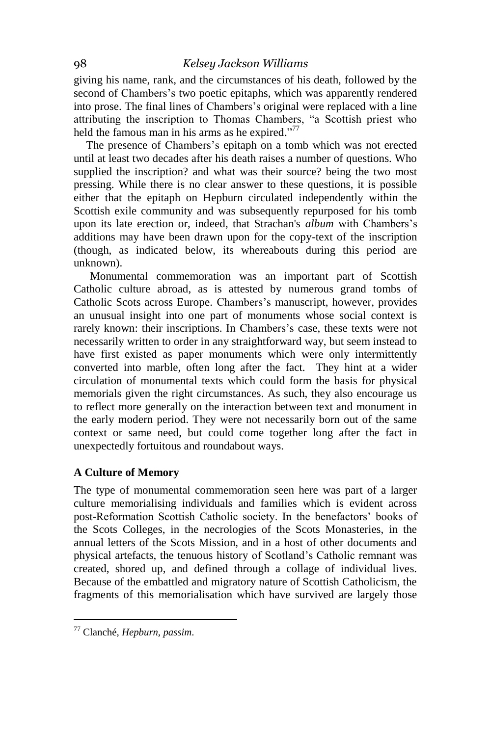giving his name, rank, and the circumstances of his death, followed by the second of Chambers's two poetic epitaphs, which was apparently rendered into prose. The final lines of Chambers's original were replaced with a line attributing the inscription to Thomas Chambers, "a Scottish priest who held the famous man in his arms as he expired."<sup>77</sup>

The presence of Chambers's epitaph on a tomb which was not erected until at least two decades after his death raises a number of questions. Who supplied the inscription? and what was their source? being the two most pressing. While there is no clear answer to these questions, it is possible either that the epitaph on Hepburn circulated independently within the Scottish exile community and was subsequently repurposed for his tomb upon its late erection or, indeed, that Strachan's *album* with Chambers's additions may have been drawn upon for the copy-text of the inscription (though, as indicated below, its whereabouts during this period are unknown).

Monumental commemoration was an important part of Scottish Catholic culture abroad, as is attested by numerous grand tombs of Catholic Scots across Europe. Chambers's manuscript, however, provides an unusual insight into one part of monuments whose social context is rarely known: their inscriptions. In Chambers's case, these texts were not necessarily written to order in any straightforward way, but seem instead to have first existed as paper monuments which were only intermittently converted into marble, often long after the fact. They hint at a wider circulation of monumental texts which could form the basis for physical memorials given the right circumstances. As such, they also encourage us to reflect more generally on the interaction between text and monument in the early modern period. They were not necessarily born out of the same context or same need, but could come together long after the fact in unexpectedly fortuitous and roundabout ways.

#### **A Culture of Memory**

The type of monumental commemoration seen here was part of a larger culture memorialising individuals and families which is evident across post-Reformation Scottish Catholic society. In the benefactors' books of the Scots Colleges, in the necrologies of the Scots Monasteries, in the annual letters of the Scots Mission, and in a host of other documents and physical artefacts, the tenuous history of Scotland's Catholic remnant was created, shored up, and defined through a collage of individual lives. Because of the embattled and migratory nature of Scottish Catholicism, the fragments of this memorialisation which have survived are largely those

<sup>77</sup> Clanché, *Hepburn*, *passim*.